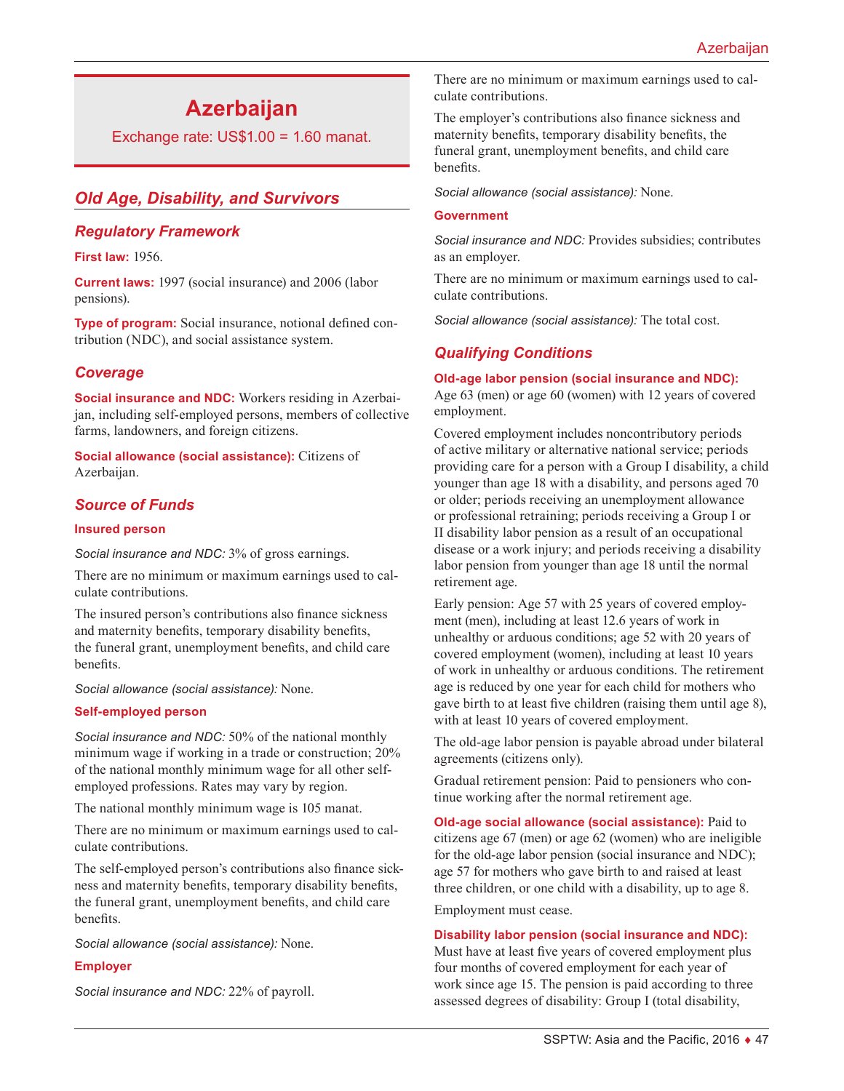# **Azerbaijan**

Exchange rate:  $US$1.00 = 1.60$  manat.

# *Old Age, Disability, and Survivors*

## *Regulatory Framework*

**First law:** 1956.

**Current laws:** 1997 (social insurance) and 2006 (labor pensions).

**Type of program:** Social insurance, notional defined contribution (NDC), and social assistance system.

## *Coverage*

**Social insurance and NDC:** Workers residing in Azerbaijan, including self-employed persons, members of collective farms, landowners, and foreign citizens.

**Social allowance (social assistance):** Citizens of Azerbaijan.

## *Source of Funds*

#### **Insured person**

*Social insurance and NDC:* 3% of gross earnings.

There are no minimum or maximum earnings used to calculate contributions.

The insured person's contributions also finance sickness and maternity benefits, temporary disability benefits, the funeral grant, unemployment benefits, and child care benefits.

*Social allowance (social assistance):* None.

#### **Self-employed person**

*Social insurance and NDC:* 50% of the national monthly minimum wage if working in a trade or construction; 20% of the national monthly minimum wage for all other selfemployed professions. Rates may vary by region.

The national monthly minimum wage is 105 manat.

There are no minimum or maximum earnings used to calculate contributions.

The self-employed person's contributions also finance sickness and maternity benefits, temporary disability benefits, the funeral grant, unemployment benefits, and child care benefits.

*Social allowance (social assistance):* None.

#### **Employer**

*Social insurance and NDC:* 22% of payroll.

There are no minimum or maximum earnings used to calculate contributions.

The employer's contributions also finance sickness and maternity benefits, temporary disability benefits, the funeral grant, unemployment benefits, and child care benefits.

*Social allowance (social assistance):* None.

#### **Government**

*Social insurance and NDC:* Provides subsidies; contributes as an employer.

There are no minimum or maximum earnings used to calculate contributions.

*Social allowance (social assistance):* The total cost.

## *Qualifying Conditions*

#### **Old-age labor pension (social insurance and NDC):**

Age 63 (men) or age 60 (women) with 12 years of covered employment.

Covered employment includes noncontributory periods of active military or alternative national service; periods providing care for a person with a Group I disability, a child younger than age 18 with a disability, and persons aged 70 or older; periods receiving an unemployment allowance or professional retraining; periods receiving a Group I or II disability labor pension as a result of an occupational disease or a work injury; and periods receiving a disability labor pension from younger than age 18 until the normal retirement age.

Early pension: Age 57 with 25 years of covered employment (men), including at least 12.6 years of work in unhealthy or arduous conditions; age 52 with 20 years of covered employment (women), including at least 10 years of work in unhealthy or arduous conditions. The retirement age is reduced by one year for each child for mothers who gave birth to at least five children (raising them until age 8), with at least 10 years of covered employment.

The old-age labor pension is payable abroad under bilateral agreements (citizens only).

Gradual retirement pension: Paid to pensioners who continue working after the normal retirement age.

**Old-age social allowance (social assistance):** Paid to citizens age 67 (men) or age 62 (women) who are ineligible for the old-age labor pension (social insurance and NDC); age 57 for mothers who gave birth to and raised at least three children, or one child with a disability, up to age 8.

Employment must cease.

#### **Disability labor pension (social insurance and NDC):**

Must have at least five years of covered employment plus four months of covered employment for each year of work since age 15. The pension is paid according to three assessed degrees of disability: Group I (total disability,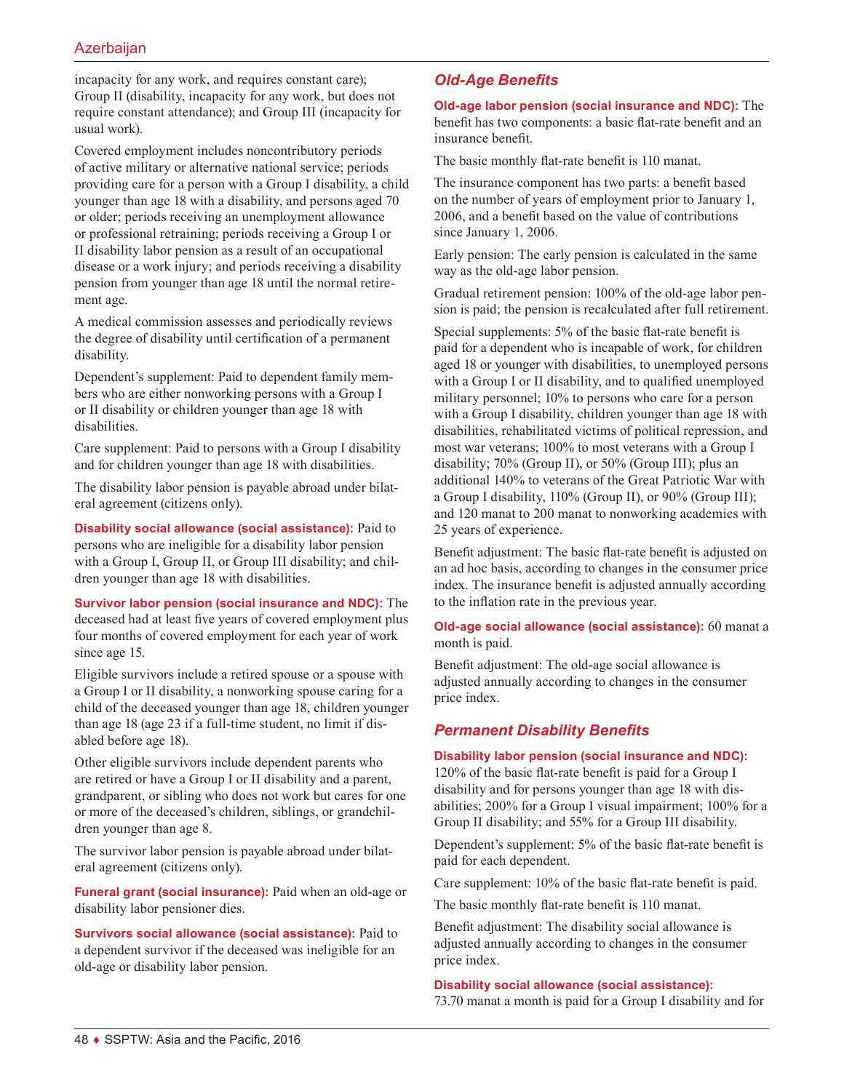# Azerbaijan

incapacity for any work, and requires constant care); Group II (disability, incapacity for any work, but does not require constant attendance); and Group III (incapacity for usual work).

Covered employment includes noncontributory periods of active military or alternative national service; periods providing care for a person with a Group I disability, a child younger than age 18 with a disability, and persons aged 70 or older; periods receiving an unemployment allowance or professional retraining; periods receiving a Group I or II disability labor pension as a result of an occupational disease or a work injury; and periods receiving a disability pension from younger than age 18 until the normal retirement age.

A medical commission assesses and periodically reviews the degree of disability until certification of a permanent disability.

Dependent's supplement: Paid to dependent family members who are either nonworking persons with a Group I or II disability or children younger than age 18 with disabilities.

Care supplement: Paid to persons with a Group I disability and for children younger than age 18 with disabilities.

The disability labor pension is payable abroad under bilateral agreement (citizens only).

**Disability social allowance (social assistance):** Paid to persons who are ineligible for a disability labor pension with a Group I, Group II, or Group III disability; and children younger than age 18 with disabilities.

**Survivor labor pension (social insurance and NDC):** The deceased had at least five years of covered employment plus four months of covered employment for each year of work since age 15.

Eligible survivors include a retired spouse or a spouse with a Group I or II disability, a nonworking spouse caring for a child of the deceased younger than age 18, children younger than age 18 (age 23 if a full-time student, no limit if disabled before age 18).

Other eligible survivors include dependent parents who are retired or have a Group I or II disability and a parent, grandparent, or sibling who does not work but cares for one or more of the deceased's children, siblings, or grandchildren younger than age 8.

The survivor labor pension is payable abroad under bilateral agreement (citizens only).

**Funeral grant (social insurance):** Paid when an old-age or disability labor pensioner dies.

**Survivors social allowance (social assistance):** Paid to a dependent survivor if the deceased was ineligible for an old-age or disability labor pension.

## *Old-Age Benefits*

**Old-age labor pension (social insurance and NDC):** The benefit has two components: a basic flat-rate benefit and an insurance benefit.

The basic monthly flat-rate benefit is 110 manat.

The insurance component has two parts: a benefit based on the number of years of employment prior to January 1, 2006, and a benefit based on the value of contributions since January 1, 2006.

Early pension: The early pension is calculated in the same way as the old-age labor pension.

Gradual retirement pension: 100% of the old-age labor pension is paid; the pension is recalculated after full retirement.

Special supplements: 5% of the basic flat-rate benefit is paid for a dependent who is incapable of work, for children aged 18 or younger with disabilities, to unemployed persons with a Group I or II disability, and to qualified unemployed military personnel; 10% to persons who care for a person with a Group I disability, children younger than age 18 with disabilities, rehabilitated victims of political repression, and most war veterans; 100% to most veterans with a Group I disability; 70% (Group II), or 50% (Group III); plus an additional 140% to veterans of the Great Patriotic War with a Group I disability, 110% (Group II), or 90% (Group III); and 120 manat to 200 manat to nonworking academics with 25 years of experience.

Benefit adjustment: The basic flat-rate benefit is adjusted on an ad hoc basis, according to changes in the consumer price index. The insurance benefit is adjusted annually according to the inflation rate in the previous year.

**Old-age social allowance (social assistance):** 60 manat a month is paid.

Benefit adjustment: The old-age social allowance is adjusted annually according to changes in the consumer price index.

### *Permanent Disability Benefits*

#### **Disability labor pension (social insurance and NDC):**

120% of the basic flat-rate benefit is paid for a Group I disability and for persons younger than age 18 with disabilities; 200% for a Group I visual impairment; 100% for a Group II disability; and 55% for a Group III disability.

Dependent's supplement: 5% of the basic flat-rate benefit is paid for each dependent.

Care supplement: 10% of the basic flat-rate benefit is paid.

The basic monthly flat-rate benefit is 110 manat.

Benefit adjustment: The disability social allowance is adjusted annually according to changes in the consumer price index.

#### **Disability social allowance (social assistance):**

73.70 manat a month is paid for a Group I disability and for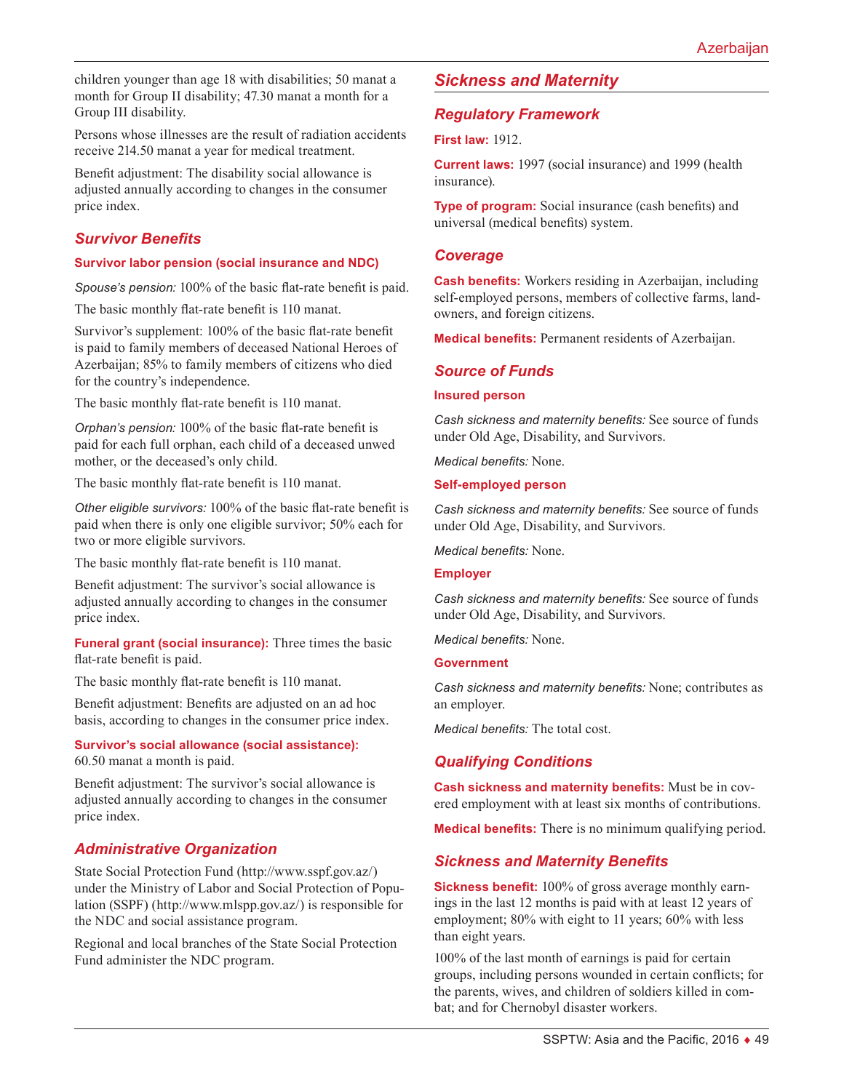children younger than age 18 with disabilities; 50 manat a month for Group II disability; 47.30 manat a month for a Group III disability.

Persons whose illnesses are the result of radiation accidents receive 214.50 manat a year for medical treatment.

Benefit adjustment: The disability social allowance is adjusted annually according to changes in the consumer price index.

# *Survivor Benefits*

#### **Survivor labor pension (social insurance and NDC)**

*Spouse's pension:* 100% of the basic flat-rate benefit is paid.

The basic monthly flat-rate benefit is 110 manat.

Survivor's supplement: 100% of the basic flat-rate benefit is paid to family members of deceased National Heroes of Azerbaijan; 85% to family members of citizens who died for the country's independence.

The basic monthly flat-rate benefit is 110 manat.

*Orphan's pension:* 100% of the basic flat-rate benefit is paid for each full orphan, each child of a deceased unwed mother, or the deceased's only child.

The basic monthly flat-rate benefit is 110 manat.

*Other eligible survivors:* 100% of the basic flat-rate benefit is paid when there is only one eligible survivor; 50% each for two or more eligible survivors.

The basic monthly flat-rate benefit is 110 manat.

Benefit adjustment: The survivor's social allowance is adjusted annually according to changes in the consumer price index.

**Funeral grant (social insurance):** Three times the basic flat-rate benefit is paid.

The basic monthly flat-rate benefit is 110 manat.

Benefit adjustment: Benefits are adjusted on an ad hoc basis, according to changes in the consumer price index.

**Survivor's social allowance (social assistance):** 60.50 manat a month is paid.

Benefit adjustment: The survivor's social allowance is adjusted annually according to changes in the consumer price index.

## *Administrative Organization*

State Social Protection Fund [\(http://www.sspf.gov.az/](http://www.sspf.gov.az/)) under the Ministry of Labor and Social Protection of Population (SSPF) ([http://www.mlspp.gov.az](http://www.mlspp.gov.az/)/) is responsible for the NDC and social assistance program.

Regional and local branches of the State Social Protection Fund administer the NDC program.

# *Sickness and Maternity*

## *Regulatory Framework*

#### **First law:** 1912.

**Current laws:** 1997 (social insurance) and 1999 (health insurance).

**Type of program:** Social insurance (cash benefits) and universal (medical benefits) system.

### *Coverage*

**Cash benefits:** Workers residing in Azerbaijan, including self-employed persons, members of collective farms, landowners, and foreign citizens.

**Medical benefits:** Permanent residents of Azerbaijan.

### *Source of Funds*

**Insured person**

*Cash sickness and maternity benefits:* See source of funds under Old Age, Disability, and Survivors.

*Medical benefits:* None.

#### **Self-employed person**

*Cash sickness and maternity benefits:* See source of funds under Old Age, Disability, and Survivors.

*Medical benefits:* None.

#### **Employer**

*Cash sickness and maternity benefits:* See source of funds under Old Age, Disability, and Survivors.

*Medical benefits:* None.

#### **Government**

*Cash sickness and maternity benefits:* None; contributes as an employer.

*Medical benefits:* The total cost.

## *Qualifying Conditions*

**Cash sickness and maternity benefits:** Must be in covered employment with at least six months of contributions.

**Medical benefits:** There is no minimum qualifying period.

## *Sickness and Maternity Benefits*

**Sickness benefit:** 100% of gross average monthly earnings in the last 12 months is paid with at least 12 years of employment; 80% with eight to 11 years; 60% with less than eight years.

100% of the last month of earnings is paid for certain groups, including persons wounded in certain conflicts; for the parents, wives, and children of soldiers killed in combat; and for Chernobyl disaster workers.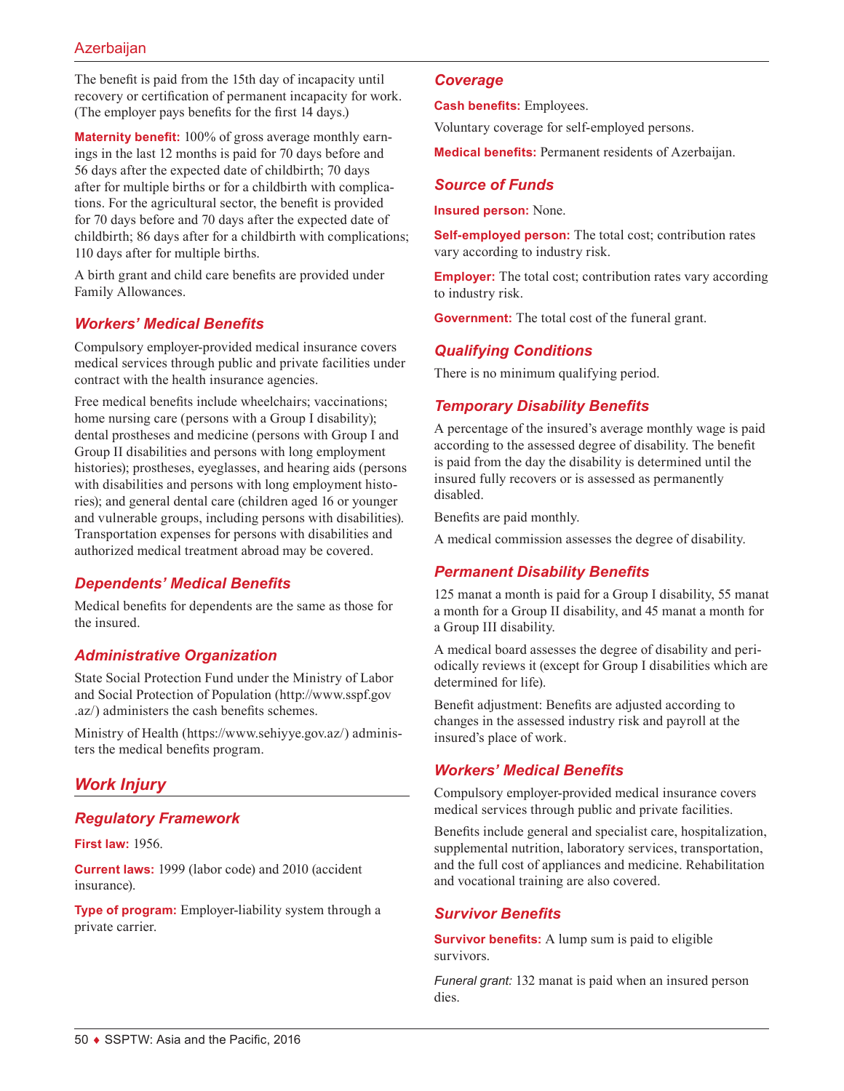The benefit is paid from the 15th day of incapacity until recovery or certification of permanent incapacity for work. (The employer pays benefits for the first 14 days.)

**Maternity benefit:** 100% of gross average monthly earnings in the last 12 months is paid for 70 days before and 56 days after the expected date of childbirth; 70 days after for multiple births or for a childbirth with complications. For the agricultural sector, the benefit is provided for 70 days before and 70 days after the expected date of childbirth; 86 days after for a childbirth with complications; 110 days after for multiple births.

A birth grant and child care benefits are provided under Family Allowances.

## *Workers' Medical Benefits*

Compulsory employer-provided medical insurance covers medical services through public and private facilities under contract with the health insurance agencies.

Free medical benefits include wheelchairs; vaccinations; home nursing care (persons with a Group I disability); dental prostheses and medicine (persons with Group I and Group II disabilities and persons with long employment histories); prostheses, eyeglasses, and hearing aids (persons with disabilities and persons with long employment histories); and general dental care (children aged 16 or younger and vulnerable groups, including persons with disabilities). Transportation expenses for persons with disabilities and authorized medical treatment abroad may be covered.

### *Dependents' Medical Benefits*

Medical benefits for dependents are the same as those for the insured.

### *Administrative Organization*

State Social Protection Fund under the Ministry of Labor and Social Protection of Population ([http://www.sspf.gov](http://www.sspf.gov.az/) [.az/](http://www.sspf.gov.az/)) administers the cash benefits schemes.

Ministry of Health ([https://www.s](http://www.sehiyye.gov.az/)ehiyye.gov.az/) administers the medical benefits program.

# *Work Injury*

### *Regulatory Framework*

**First law:** 1956.

**Current laws:** 1999 (labor code) and 2010 (accident insurance).

**Type of program:** Employer-liability system through a private carrier.

#### *Coverage*

**Cash benefits:** Employees.

Voluntary coverage for self-employed persons.

**Medical benefits:** Permanent residents of Azerbaijan.

#### *Source of Funds*

**Insured person:** None.

**Self-employed person:** The total cost; contribution rates vary according to industry risk.

**Employer:** The total cost; contribution rates vary according to industry risk.

**Government:** The total cost of the funeral grant.

#### *Qualifying Conditions*

There is no minimum qualifying period.

## *Temporary Disability Benefits*

A percentage of the insured's average monthly wage is paid according to the assessed degree of disability. The benefit is paid from the day the disability is determined until the insured fully recovers or is assessed as permanently disabled.

Benefits are paid monthly.

A medical commission assesses the degree of disability.

### *Permanent Disability Benefits*

125 manat a month is paid for a Group I disability, 55 manat a month for a Group II disability, and 45 manat a month for a Group III disability.

A medical board assesses the degree of disability and periodically reviews it (except for Group I disabilities which are determined for life).

Benefit adjustment: Benefits are adjusted according to changes in the assessed industry risk and payroll at the insured's place of work.

### *Workers' Medical Benefits*

Compulsory employer-provided medical insurance covers medical services through public and private facilities.

Benefits include general and specialist care, hospitalization, supplemental nutrition, laboratory services, transportation, and the full cost of appliances and medicine. Rehabilitation and vocational training are also covered.

### *Survivor Benefits*

**Survivor benefits:** A lump sum is paid to eligible survivors.

*Funeral grant:* 132 manat is paid when an insured person dies.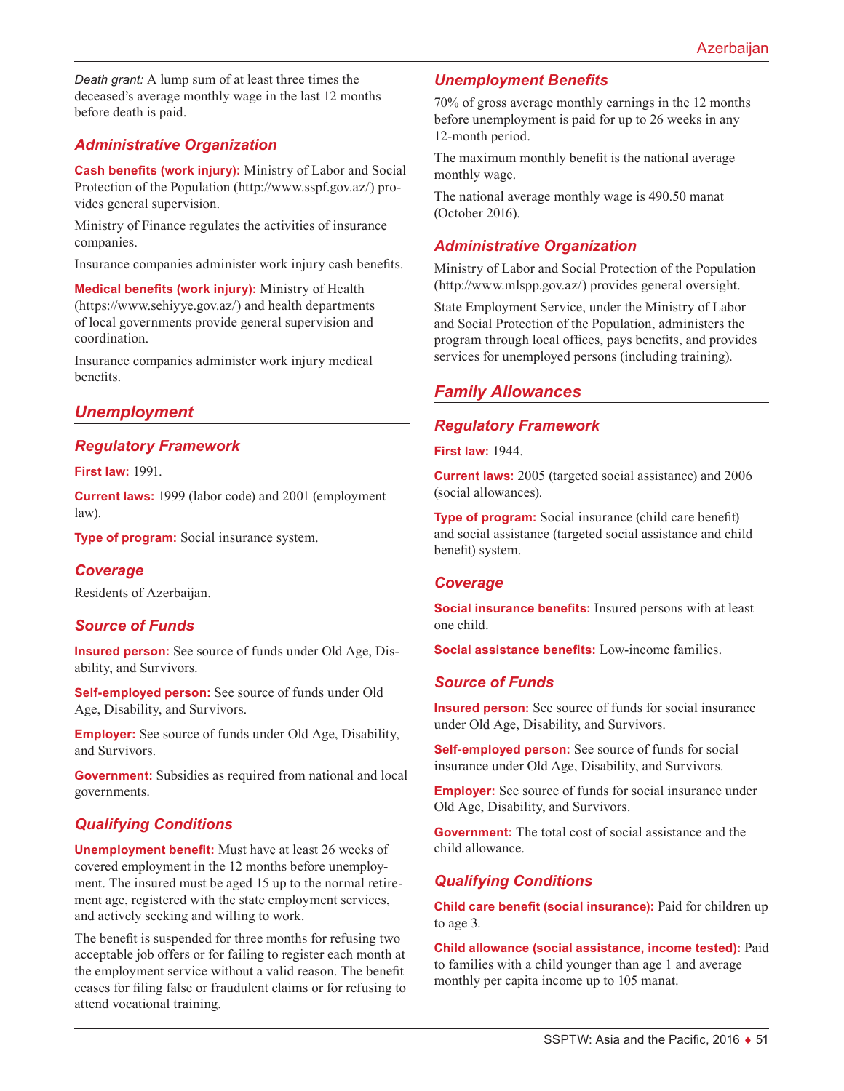*Death grant:* A lump sum of at least three times the deceased's average monthly wage in the last 12 months before death is paid.

# *Administrative Organization*

**Cash benefits (work injury):** Ministry of Labor and Social Protection of the Population ([http://www.sspf.gov.az](http://www.sspf.gov.az/)/) provides general supervision.

Ministry of Finance regulates the activities of insurance companies.

Insurance companies administer work injury cash benefits.

**Medical benefits (work injury):** Ministry of Health ([https://www.](https://www.sehiyye.gov.az/)sehiyye.gov.az/) and health departments of local governments provide general supervision and coordination.

Insurance companies administer work injury medical benefits.

# *Unemployment*

# *Regulatory Framework*

**First law:** 1991.

**Current laws:** 1999 (labor code) and 2001 (employment law).

**Type of program:** Social insurance system.

### *Coverage*

Residents of Azerbaijan.

## *Source of Funds*

**Insured person:** See source of funds under Old Age, Disability, and Survivors.

**Self-employed person:** See source of funds under Old Age, Disability, and Survivors.

**Employer:** See source of funds under Old Age, Disability, and Survivors.

**Government:** Subsidies as required from national and local governments.

## *Qualifying Conditions*

**Unemployment benefit:** Must have at least 26 weeks of covered employment in the 12 months before unemployment. The insured must be aged 15 up to the normal retirement age, registered with the state employment services, and actively seeking and willing to work.

The benefit is suspended for three months for refusing two acceptable job offers or for failing to register each month at the employment service without a valid reason. The benefit ceases for filing false or fraudulent claims or for refusing to attend vocational training.

## *Unemployment Benefits*

70% of gross average monthly earnings in the 12 months before unemployment is paid for up to 26 weeks in any 12-month period.

The maximum monthly benefit is the national average monthly wage.

The national average monthly wage is 490.50 manat (October 2016).

## *Administrative Organization*

Ministry of Labor and Social Protection of the Population ([http://www.mlspp.gov.az](http://www.mlspp.gov.az/)/) provides general oversight.

State Employment Service, under the Ministry of Labor and Social Protection of the Population, administers the program through local offices, pays benefits, and provides services for unemployed persons (including training).

# *Family Allowances*

## *Regulatory Framework*

**First law:** 1944.

**Current laws:** 2005 (targeted social assistance) and 2006 (social allowances).

**Type of program:** Social insurance (child care benefit) and social assistance (targeted social assistance and child benefit) system.

### *Coverage*

**Social insurance benefits:** Insured persons with at least one child.

**Social assistance benefits:** Low-income families.

### *Source of Funds*

**Insured person:** See source of funds for social insurance under Old Age, Disability, and Survivors.

**Self-employed person:** See source of funds for social insurance under Old Age, Disability, and Survivors.

**Employer:** See source of funds for social insurance under Old Age, Disability, and Survivors.

**Government:** The total cost of social assistance and the child allowance.

## *Qualifying Conditions*

**Child care benefit (social insurance):** Paid for children up to age 3.

**Child allowance (social assistance, income tested):** Paid to families with a child younger than age 1 and average monthly per capita income up to 105 manat.